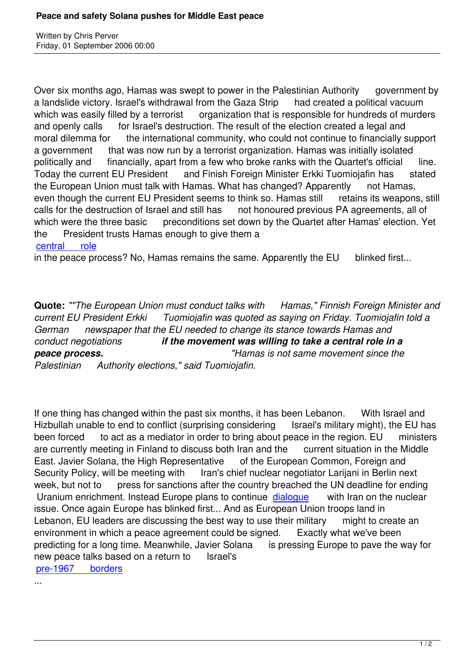Over six months ago, Hamas was swept to power in the Palestinian Authority government by a landslide victory. Israel's withdrawal from the Gaza Strip had created a political vacuum which was easily filled by a terrorist organization that is responsible for hundreds of murders and openly calls for Israel's destruction. The result of the election created a legal and moral dilemma for the international community, who could not continue to financially support a government that was now run by a terrorist organization. Hamas was initially isolated politically and financially, apart from a few who broke ranks with the Quartet's official line. Today the current EU President and Finish Foreign Minister Erkki Tuomiojafin has stated the European Union must talk with Hamas. What has changed? Apparently not Hamas, even though the current EU President seems to think so. Hamas still retains its weapons, still calls for the destruction of Israel and still has not honoured previous PA agreements, all of which were the three basic preconditions set down by the Quartet after Hamas' election. Yet the President trusts Hamas enough to give them a central role

in the peace process? No, Hamas remains the same. Apparently the EU blinked first...

**Quote:** *""The European Union must conduct talks with Hamas," Finnish Foreign Minister and current EU President Erkki Tuomiojafin was quoted as saying on Friday. Tuomiojafin told a German newspaper that the EU needed to change its stance towards Hamas and conduct negotiations if the movement was willing to take a central role in a peace process. "Hamas is not same movement since the Palestinian Authority elections," said Tuomiojafin.*

If one thing has changed within the past six months, it has been Lebanon. With Israel and Hizbullah unable to end to conflict (surprising considering Israel's military might), the EU has been forced to act as a mediator in order to bring about peace in the region. EU ministers are currently meeting in Finland to discuss both Iran and the current situation in the Middle East. Javier Solana, the High Representative of the European Common, Foreign and Security Policy, will be meeting with Iran's chief nuclear negotiator Larijani in Berlin next week, but not to press for sanctions after the country breached the UN deadline for ending Uranium enrichment. Instead Europe plans to continue dialogue with Iran on the nuclear issue. Once again Europe has blinked first... And as European Union troops land in Lebanon, EU leaders are discussing the best way to use their military might to create an environment in which a peace agreement could be signe[d. Exa](http://today.reuters.co.uk/news/articlenews.aspx?type=worldNews&storyID=2006-09-01T102852Z_01_L31311503_RTRUKOC_0_UK-NUCLEAR-IRAN.xml&pageNumber=1&imageid=&cap=&sz=13&WTModLoc=NewsArt-C1-ArticlePage1)ctly what we've been predicting for a long time. Meanwhile, Javier Solana is pressing Europe to pave the way for new peace talks based on a return to Israel's pre-1967 borders

...